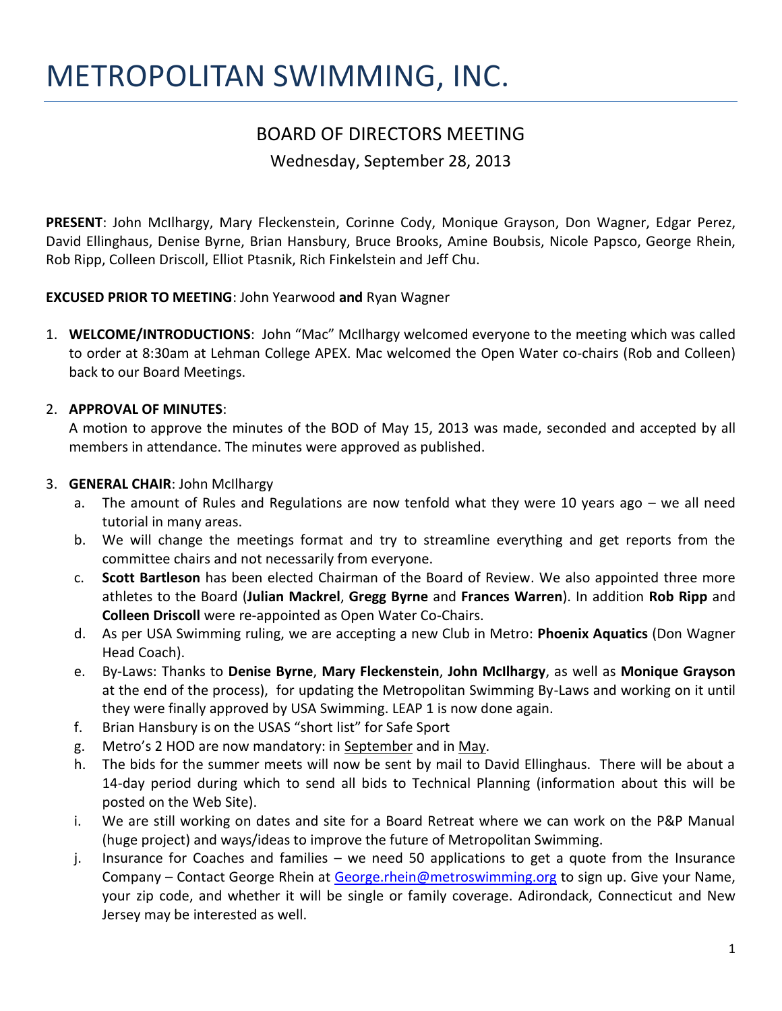# METROPOLITAN SWIMMING, INC.

# BOARD OF DIRECTORS MEETING

Wednesday, September 28, 2013

**PRESENT**: John McIlhargy, Mary Fleckenstein, Corinne Cody, Monique Grayson, Don Wagner, Edgar Perez, David Ellinghaus, Denise Byrne, Brian Hansbury, Bruce Brooks, Amine Boubsis, Nicole Papsco, George Rhein, Rob Ripp, Colleen Driscoll, Elliot Ptasnik, Rich Finkelstein and Jeff Chu.

**EXCUSED PRIOR TO MEETING**: John Yearwood **and** Ryan Wagner

1. **WELCOME/INTRODUCTIONS**: John "Mac" McIlhargy welcomed everyone to the meeting which was called to order at 8:30am at Lehman College APEX. Mac welcomed the Open Water co-chairs (Rob and Colleen) back to our Board Meetings.

# 2. **APPROVAL OF MINUTES**:

A motion to approve the minutes of the BOD of May 15, 2013 was made, seconded and accepted by all members in attendance. The minutes were approved as published.

## 3. **GENERAL CHAIR**: John McIlhargy

- a. The amount of Rules and Regulations are now tenfold what they were 10 years ago we all need tutorial in many areas.
- b. We will change the meetings format and try to streamline everything and get reports from the committee chairs and not necessarily from everyone.
- c. **Scott Bartleson** has been elected Chairman of the Board of Review. We also appointed three more athletes to the Board (**Julian Mackrel**, **Gregg Byrne** and **Frances Warren**). In addition **Rob Ripp** and **Colleen Driscoll** were re-appointed as Open Water Co-Chairs.
- d. As per USA Swimming ruling, we are accepting a new Club in Metro: **Phoenix Aquatics** (Don Wagner Head Coach).
- e. By-Laws: Thanks to **Denise Byrne**, **Mary Fleckenstein**, **John McIlhargy**, as well as **Monique Grayson** at the end of the process), for updating the Metropolitan Swimming By-Laws and working on it until they were finally approved by USA Swimming. LEAP 1 is now done again.
- f. Brian Hansbury is on the USAS "short list" for Safe Sport
- g. Metro's 2 HOD are now mandatory: in September and in May.
- h. The bids for the summer meets will now be sent by mail to David Ellinghaus. There will be about a 14-day period during which to send all bids to Technical Planning (information about this will be posted on the Web Site).
- i. We are still working on dates and site for a Board Retreat where we can work on the P&P Manual (huge project) and ways/ideas to improve the future of Metropolitan Swimming.
- j. Insurance for Coaches and families we need 50 applications to get a quote from the Insurance Company – Contact George Rhein at [George.rhein@metroswimming.org](mailto:George.rhein@metroswimming.org) to sign up. Give your Name, your zip code, and whether it will be single or family coverage. Adirondack, Connecticut and New Jersey may be interested as well.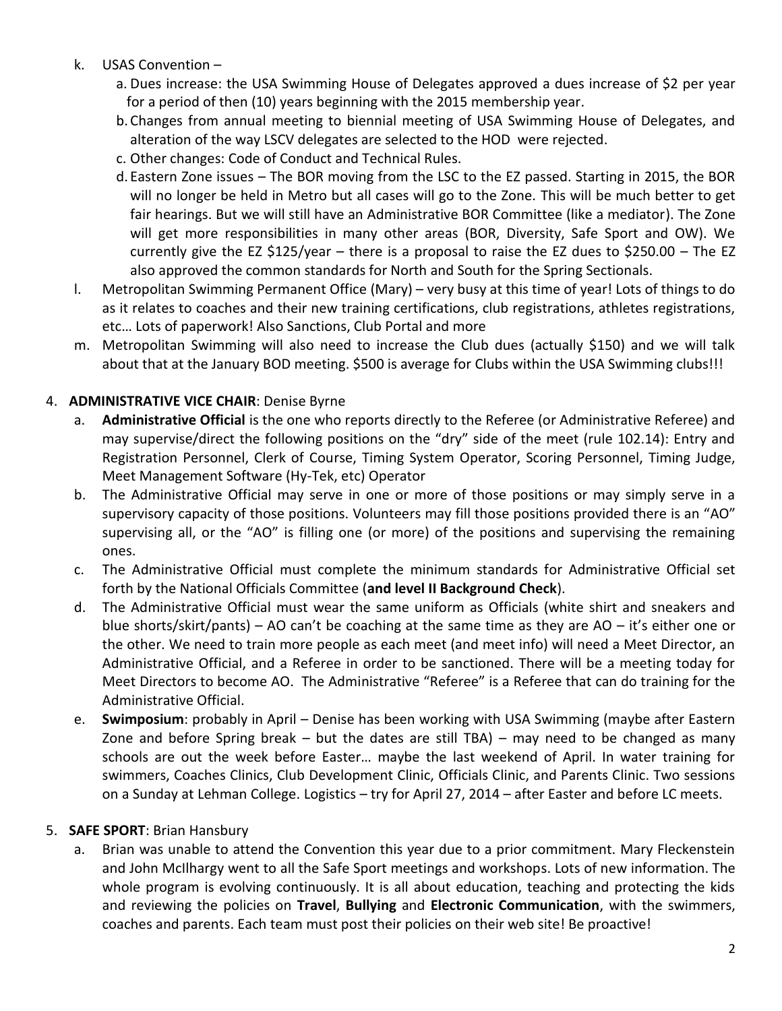## k. USAS Convention –

- a. Dues increase: the USA Swimming House of Delegates approved a dues increase of \$2 per year for a period of then (10) years beginning with the 2015 membership year.
- b. Changes from annual meeting to biennial meeting of USA Swimming House of Delegates, and alteration of the way LSCV delegates are selected to the HOD were rejected.
- c. Other changes: Code of Conduct and Technical Rules.
- d. Eastern Zone issues The BOR moving from the LSC to the EZ passed. Starting in 2015, the BOR will no longer be held in Metro but all cases will go to the Zone. This will be much better to get fair hearings. But we will still have an Administrative BOR Committee (like a mediator). The Zone will get more responsibilities in many other areas (BOR, Diversity, Safe Sport and OW). We currently give the EZ \$125/year – there is a proposal to raise the EZ dues to \$250.00 – The EZ also approved the common standards for North and South for the Spring Sectionals.
- l. Metropolitan Swimming Permanent Office (Mary) very busy at this time of year! Lots of things to do as it relates to coaches and their new training certifications, club registrations, athletes registrations, etc… Lots of paperwork! Also Sanctions, Club Portal and more
- m. Metropolitan Swimming will also need to increase the Club dues (actually \$150) and we will talk about that at the January BOD meeting. \$500 is average for Clubs within the USA Swimming clubs!!!

## 4. **ADMINISTRATIVE VICE CHAIR**: Denise Byrne

- a. **Administrative Official** is the one who reports directly to the Referee (or Administrative Referee) and may supervise/direct the following positions on the "dry" side of the meet (rule 102.14): Entry and Registration Personnel, Clerk of Course, Timing System Operator, Scoring Personnel, Timing Judge, Meet Management Software (Hy-Tek, etc) Operator
- b. The Administrative Official may serve in one or more of those positions or may simply serve in a supervisory capacity of those positions. Volunteers may fill those positions provided there is an "AO" supervising all, or the "AO" is filling one (or more) of the positions and supervising the remaining ones.
- c. The Administrative Official must complete the minimum standards for Administrative Official set forth by the National Officials Committee (**and level II Background Check**).
- d. The Administrative Official must wear the same uniform as Officials (white shirt and sneakers and blue shorts/skirt/pants) – AO can't be coaching at the same time as they are AO – it's either one or the other. We need to train more people as each meet (and meet info) will need a Meet Director, an Administrative Official, and a Referee in order to be sanctioned. There will be a meeting today for Meet Directors to become AO. The Administrative "Referee" is a Referee that can do training for the Administrative Official.
- e. **Swimposium**: probably in April Denise has been working with USA Swimming (maybe after Eastern Zone and before Spring break – but the dates are still TBA) – may need to be changed as many schools are out the week before Easter… maybe the last weekend of April. In water training for swimmers, Coaches Clinics, Club Development Clinic, Officials Clinic, and Parents Clinic. Two sessions on a Sunday at Lehman College. Logistics – try for April 27, 2014 – after Easter and before LC meets.

#### 5. **SAFE SPORT**: Brian Hansbury

a. Brian was unable to attend the Convention this year due to a prior commitment. Mary Fleckenstein and John McIlhargy went to all the Safe Sport meetings and workshops. Lots of new information. The whole program is evolving continuously. It is all about education, teaching and protecting the kids and reviewing the policies on **Travel**, **Bullying** and **Electronic Communication**, with the swimmers, coaches and parents. Each team must post their policies on their web site! Be proactive!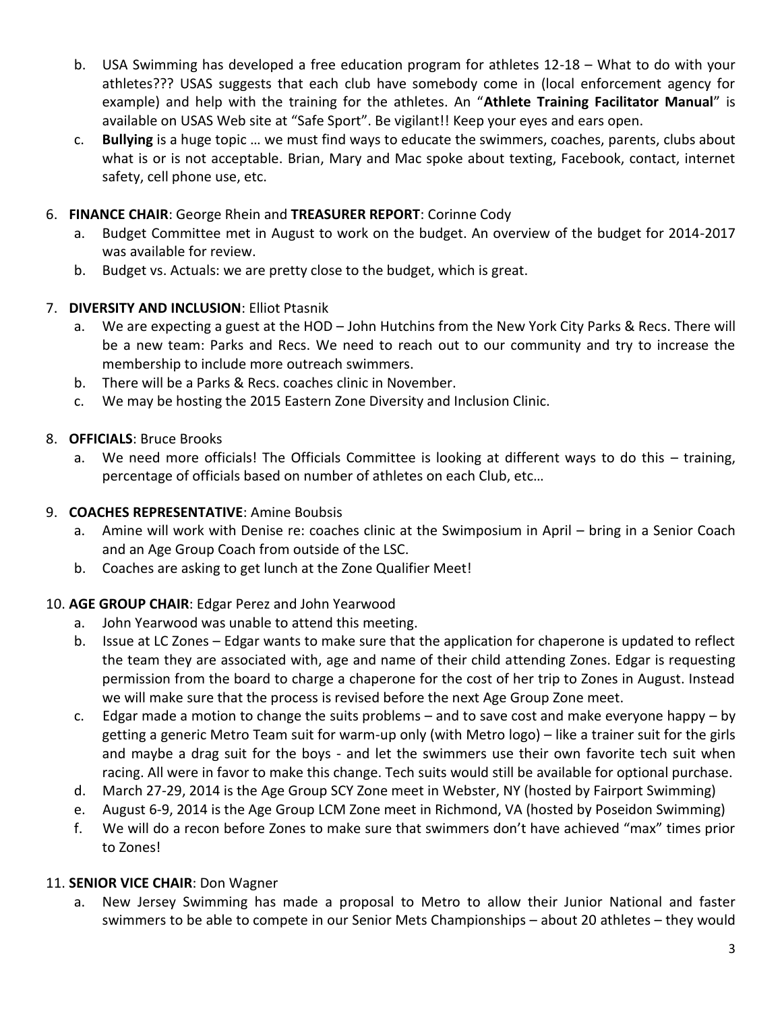- b. USA Swimming has developed a free education program for athletes 12-18 What to do with your athletes??? USAS suggests that each club have somebody come in (local enforcement agency for example) and help with the training for the athletes. An "**Athlete Training Facilitator Manual**" is available on USAS Web site at "Safe Sport". Be vigilant!! Keep your eyes and ears open.
- c. **Bullying** is a huge topic … we must find ways to educate the swimmers, coaches, parents, clubs about what is or is not acceptable. Brian, Mary and Mac spoke about texting, Facebook, contact, internet safety, cell phone use, etc.

# 6. **FINANCE CHAIR**: George Rhein and **TREASURER REPORT**: Corinne Cody

- a. Budget Committee met in August to work on the budget. An overview of the budget for 2014-2017 was available for review.
- b. Budget vs. Actuals: we are pretty close to the budget, which is great.

## 7. **DIVERSITY AND INCLUSION**: Elliot Ptasnik

- a. We are expecting a guest at the HOD John Hutchins from the New York City Parks & Recs. There will be a new team: Parks and Recs. We need to reach out to our community and try to increase the membership to include more outreach swimmers.
- b. There will be a Parks & Recs. coaches clinic in November.
- c. We may be hosting the 2015 Eastern Zone Diversity and Inclusion Clinic.

## 8. **OFFICIALS**: Bruce Brooks

a. We need more officials! The Officials Committee is looking at different ways to do this – training, percentage of officials based on number of athletes on each Club, etc…

#### 9. **COACHES REPRESENTATIVE**: Amine Boubsis

- a. Amine will work with Denise re: coaches clinic at the Swimposium in April bring in a Senior Coach and an Age Group Coach from outside of the LSC.
- b. Coaches are asking to get lunch at the Zone Qualifier Meet!

# 10. **AGE GROUP CHAIR**: Edgar Perez and John Yearwood

- a. John Yearwood was unable to attend this meeting.
- b. Issue at LC Zones Edgar wants to make sure that the application for chaperone is updated to reflect the team they are associated with, age and name of their child attending Zones. Edgar is requesting permission from the board to charge a chaperone for the cost of her trip to Zones in August. Instead we will make sure that the process is revised before the next Age Group Zone meet.
- c. Edgar made a motion to change the suits problems and to save cost and make everyone happy by getting a generic Metro Team suit for warm-up only (with Metro logo) – like a trainer suit for the girls and maybe a drag suit for the boys - and let the swimmers use their own favorite tech suit when racing. All were in favor to make this change. Tech suits would still be available for optional purchase.
- d. March 27-29, 2014 is the Age Group SCY Zone meet in Webster, NY (hosted by Fairport Swimming)
- e. August 6-9, 2014 is the Age Group LCM Zone meet in Richmond, VA (hosted by Poseidon Swimming)
- f. We will do a recon before Zones to make sure that swimmers don't have achieved "max" times prior to Zones!

# 11. **SENIOR VICE CHAIR**: Don Wagner

a. New Jersey Swimming has made a proposal to Metro to allow their Junior National and faster swimmers to be able to compete in our Senior Mets Championships – about 20 athletes – they would